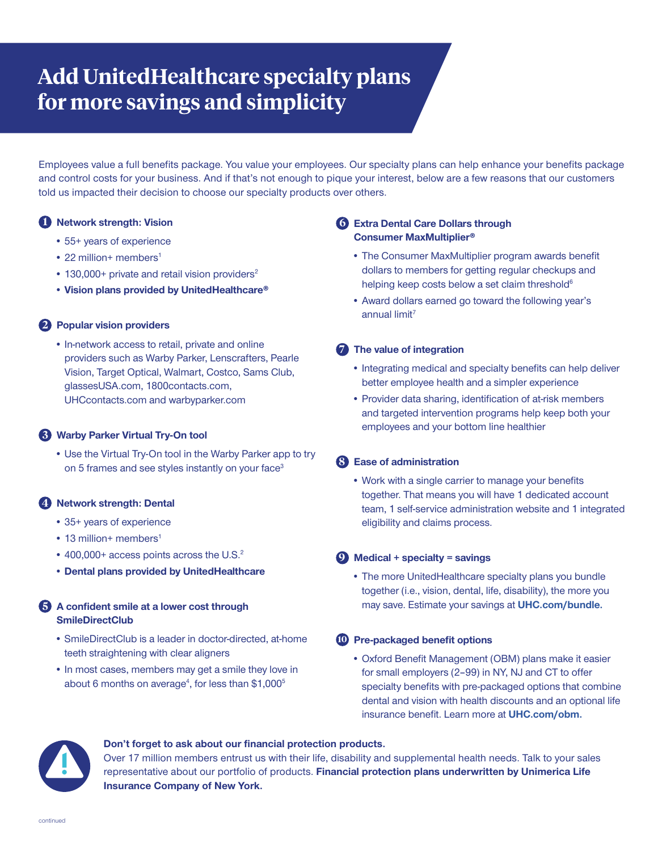# **Add UnitedHealthcare specialty plans for more savings and simplicity**

Employees value a full benefits package. You value your employees. Our specialty plans can help enhance your benefits package and control costs for your business. And if that's not enough to pique your interest, below are a few reasons that our customers told us impacted their decision to choose our specialty products over others.

# **1 Network strength: Vision**

- 55+ years of experience
- $\cdot$  22 million+ members<sup>1</sup>
- $\cdot$  130,000+ private and retail vision providers<sup>2</sup>
- **• Vision plans provided by UnitedHealthcare®**

## **2 Popular vision providers**

• In-network access to retail, private and online providers such as Warby Parker, Lenscrafters, Pearle Vision, Target Optical, Walmart, Costco, Sams Club, glassesUSA.com, 1800contacts.com, UHCcontacts.com and warbyparker.com

# **3 Warby Parker Virtual Try-On tool**

• Use the Virtual Try-On tool in the Warby Parker app to try on 5 frames and see styles instantly on your face<sup>3</sup>

# **4 Network strength: Dental**

- 35+ years of experience
- 13 million+ members<sup>1</sup>
- 400,000+ access points across the U.S.<sup>2</sup>
- **• Dental plans provided by UnitedHealthcare**

# **5 A confident smile at a lower cost through SmileDirectClub**

- SmileDirectClub is a leader in doctor-directed, at-home teeth straightening with clear aligners
- In most cases, members may get a smile they love in about 6 months on average<sup>4</sup>, for less than \$1,000<sup>5</sup>

# **6 Extra Dental Care Dollars through Consumer MaxMultiplier®**

- The Consumer MaxMultiplier program awards benefit dollars to members for getting regular checkups and helping keep costs below a set claim threshold<sup>6</sup>
- Award dollars earned go toward the following year's annual limit $<sup>7</sup>$ </sup>

## **7 The value of integration**

- Integrating medical and specialty benefits can help deliver better employee health and a simpler experience
- Provider data sharing, identification of at-risk members and targeted intervention programs help keep both your employees and your bottom line healthier

## **8 Ease of administration**

• Work with a single carrier to manage your benefits together. That means you will have 1 dedicated account team, 1 self-service administration website and 1 integrated eligibility and claims process.

## **9 Medical + specialty = savings**

• The more UnitedHealthcare specialty plans you bundle together (i.e., vision, dental, life, disability), the more you may save. Estimate your savings at **UHC.com/bundle.**

## **10 Pre-packaged benefit options**

• Oxford Benefit Management (OBM) plans make it easier for small employers (2–99) in NY, NJ and CT to offer specialty benefits with pre-packaged options that combine dental and vision with health discounts and an optional life insurance benefit. Learn more at **UHC.com/obm.**



#### **Don't forget to ask about our financial protection products.**

Over 17 million members entrust us with their life, disability and supplemental health needs. Talk to your sales representative about our portfolio of products. **Financial protection plans underwritten by Unimerica Life Insurance Company of New York.**